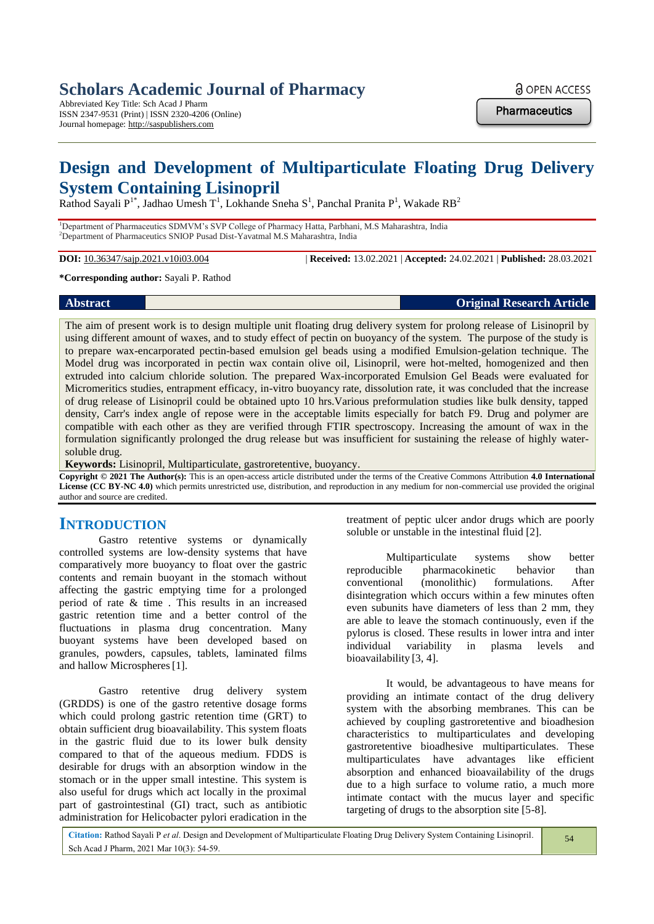Abbreviated Key Title: Sch Acad J Pharm ISSN 2347-9531 (Print) | ISSN 2320-4206 (Online) Journal homepage: http://saspublishers.com

**a** OPEN ACCESS

**Pharmaceutics** 

# **Design and Development of Multiparticulate Floating Drug Delivery System Containing Lisinopril**

Rathod Sayali  $P^{1*}$ , Jadhao Umesh T<sup>1</sup>, Lokhande Sneha S<sup>1</sup>, Panchal Pranita  $P^1$ , Wakade RB<sup>2</sup>

<sup>1</sup>Department of Pharmaceutics SDMVM's SVP College of Pharmacy Hatta, Parbhani, M.S Maharashtra, India <sup>2</sup>Department of Pharmaceutics SNIOP Pusad Dist-Yavatmal M.S Maharashtra, India

**DOI:** 10.36347/sajp.2021.v10i03.004 | **Received:** 13.02.2021 | **Accepted:** 24.02.2021 | **Published:** 28.03.2021

**\*Corresponding author:** Sayali P. Rathod

**Abstract Original Research Article**

The aim of present work is to design multiple unit floating drug delivery system for prolong release of Lisinopril by using different amount of waxes, and to study effect of pectin on buoyancy of the system. The purpose of the study is to prepare wax-encarporated pectin-based emulsion gel beads using a modified Emulsion-gelation technique. The Model drug was incorporated in pectin wax contain olive oil, Lisinopril, were hot-melted, homogenized and then extruded into calcium chloride solution. The prepared Wax-incorporated Emulsion Gel Beads were evaluated for Micromeritics studies, entrapment efficacy, in-vitro buoyancy rate, dissolution rate, it was concluded that the increase of drug release of Lisinopril could be obtained upto 10 hrs.Various preformulation studies like bulk density, tapped density, Carr's index angle of repose were in the acceptable limits especially for batch F9. Drug and polymer are compatible with each other as they are verified through FTIR spectroscopy. Increasing the amount of wax in the formulation significantly prolonged the drug release but was insufficient for sustaining the release of highly watersoluble drug.

**Keywords:** Lisinopril, Multiparticulate, gastroretentive, buoyancy.

**Copyright © 2021 The Author(s):** This is an open-access article distributed under the terms of the Creative Commons Attribution **4.0 International License (CC BY-NC 4.0)** which permits unrestricted use, distribution, and reproduction in any medium for non-commercial use provided the original author and source are credited.

# **INTRODUCTION**

Gastro retentive systems or dynamically controlled systems are low-density systems that have comparatively more buoyancy to float over the gastric contents and remain buoyant in the stomach without affecting the gastric emptying time for a prolonged period of rate & time . This results in an increased gastric retention time and a better control of the fluctuations in plasma drug concentration. Many buoyant systems have been developed based on granules, powders, capsules, tablets, laminated films and hallow Microspheres[1].

Gastro retentive drug delivery system (GRDDS) is one of the gastro retentive dosage forms which could prolong gastric retention time (GRT) to obtain sufficient drug bioavailability. This system floats in the gastric fluid due to its lower bulk density compared to that of the aqueous medium. FDDS is desirable for drugs with an absorption window in the stomach or in the upper small intestine. This system is also useful for drugs which act locally in the proximal part of gastrointestinal (GI) tract, such as antibiotic administration for Helicobacter pylori eradication in the

treatment of peptic ulcer andor drugs which are poorly soluble or unstable in the intestinal fluid [2].

Multiparticulate systems show better reproducible pharmacokinetic behavior than conventional (monolithic) formulations. After disintegration which occurs within a few minutes often even subunits have diameters of less than 2 mm, they are able to leave the stomach continuously, even if the pylorus is closed. These results in lower intra and inter individual variability in plasma levels and bioavailability [3, 4].

It would, be advantageous to have means for providing an intimate contact of the drug delivery system with the absorbing membranes. This can be achieved by coupling gastroretentive and bioadhesion characteristics to multiparticulates and developing gastroretentive bioadhesive multiparticulates. These multiparticulates have advantages like efficient absorption and enhanced bioavailability of the drugs due to a high surface to volume ratio, a much more intimate contact with the mucus layer and specific targeting of drugs to the absorption site [5-8].

| Citation: Rathod Sayali P et al. Design and Development of Multiparticulate Floating Drug Delivery System Containing Lisinopril. |  |
|----------------------------------------------------------------------------------------------------------------------------------|--|
| Sch Acad J Pharm, 2021 Mar 10(3): 54-59.                                                                                         |  |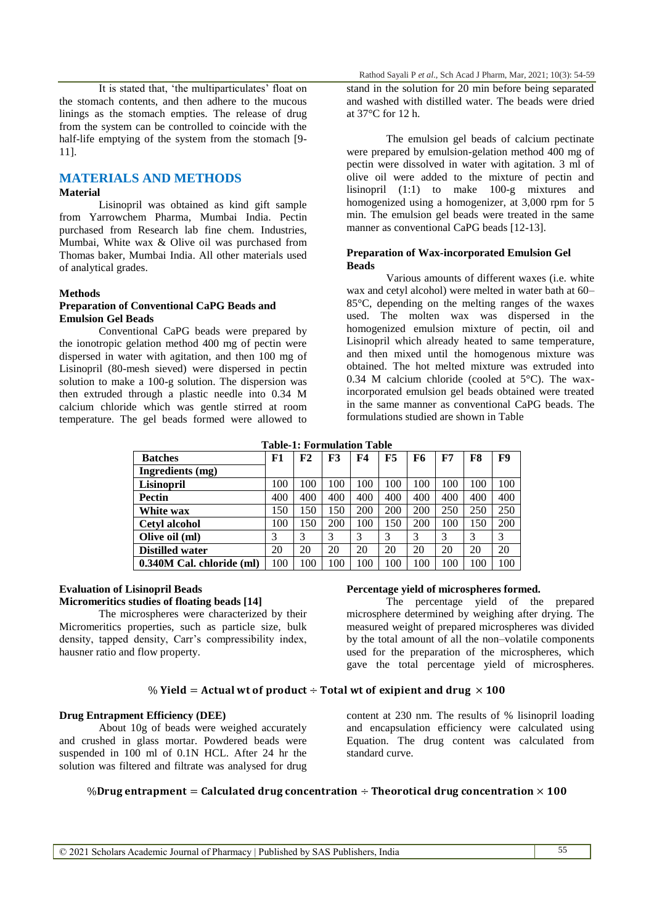It is stated that, 'the multiparticulates' float on the stomach contents, and then adhere to the mucous linings as the stomach empties. The release of drug from the system can be controlled to coincide with the half-life emptying of the system from the stomach [9- 11].

# **MATERIALS AND METHODS**

### **Material**

Lisinopril was obtained as kind gift sample from Yarrowchem Pharma, Mumbai India. Pectin purchased from Research lab fine chem. Industries, Mumbai, White wax & Olive oil was purchased from Thomas baker, Mumbai India. All other materials used of analytical grades.

## **Methods**

## **Preparation of Conventional CaPG Beads and Emulsion Gel Beads**

Conventional CaPG beads were prepared by the ionotropic gelation method 400 mg of pectin were dispersed in water with agitation, and then 100 mg of Lisinopril (80-mesh sieved) were dispersed in pectin solution to make a 100-g solution. The dispersion was then extruded through a plastic needle into 0.34 M calcium chloride which was gentle stirred at room temperature. The gel beads formed were allowed to

stand in the solution for 20 min before being separated and washed with distilled water. The beads were dried at 37°C for 12 h.

The emulsion gel beads of calcium pectinate were prepared by emulsion-gelation method 400 mg of pectin were dissolved in water with agitation. 3 ml of olive oil were added to the mixture of pectin and lisinopril (1:1) to make 100-g mixtures and homogenized using a homogenizer, at 3,000 rpm for 5 min. The emulsion gel beads were treated in the same manner as conventional CaPG beads [12-13].

#### **Preparation of Wax-incorporated Emulsion Gel Beads**

Various amounts of different waxes (i.e. white wax and cetyl alcohol) were melted in water bath at 60– 85°C, depending on the melting ranges of the waxes used. The molten wax was dispersed in the homogenized emulsion mixture of pectin, oil and Lisinopril which already heated to same temperature, and then mixed until the homogenous mixture was obtained. The hot melted mixture was extruded into 0.34 M calcium chloride (cooled at  $5^{\circ}$ C). The waxincorporated emulsion gel beads obtained were treated in the same manner as conventional CaPG beads. The formulations studied are shown in Table

**Table-1: Formulation Table**

| <b>Batches</b>            | F1  | F2  | F3  | F4  | F5  | F6  | F7  | F8  | F9  |
|---------------------------|-----|-----|-----|-----|-----|-----|-----|-----|-----|
| Ingredients (mg)          |     |     |     |     |     |     |     |     |     |
| Lisinopril                | 100 | 100 | 100 | 100 | 100 | 100 | 100 | 100 | 100 |
| <b>Pectin</b>             | 400 | 400 | 400 | 400 | 400 | 400 | 400 | 400 | 400 |
| White wax                 | 150 | 150 | 150 | 200 | 200 | 200 | 250 | 250 | 250 |
| <b>Cetyl alcohol</b>      | 100 | .50 | 200 | 100 | 150 | 200 | 100 | 150 | 200 |
| Olive oil (ml)            | 3   | 3   |     |     | 3   | 3   | 3   |     | 3   |
| <b>Distilled water</b>    | 20  | 20  | 20  | 20  | 20  | 20  | 20  | 20  | 20  |
| 0.340M Cal. chloride (ml) | 100 | 100 | 100 | 100 | 100 | 100 | 100 | 100 | 100 |

# **Evaluation of Lisinopril Beads**

# **Micromeritics studies of floating beads [14]**

The microspheres were characterized by their Micromeritics properties, such as particle size, bulk density, tapped density, Carr"s compressibility index, hausner ratio and flow property.

#### **Percentage yield of microspheres formed.**

The percentage yield of the prepared microsphere determined by weighing after drying. The measured weight of prepared microspheres was divided by the total amount of all the non–volatile components used for the preparation of the microspheres, which gave the total percentage yield of microspheres.

Equation. The drug content was calculated from

## % Yield = Actual wt of product  $\div$  Total wt of exipient and drug  $\times$  100

# **Drug Entrapment Efficiency (DEE)**

About 10g of beads were weighed accurately and crushed in glass mortar. Powdered beads were suspended in 100 ml of 0.1N HCL. After 24 hr the solution was filtered and filtrate was analysed for drug

# content at 230 nm. The results of % lisinopril loading and encapsulation efficiency were calculated using

# %Drug entrapment = Calculated drug concentration  $\div$  Theorotical drug concentration  $\times$  100

standard curve.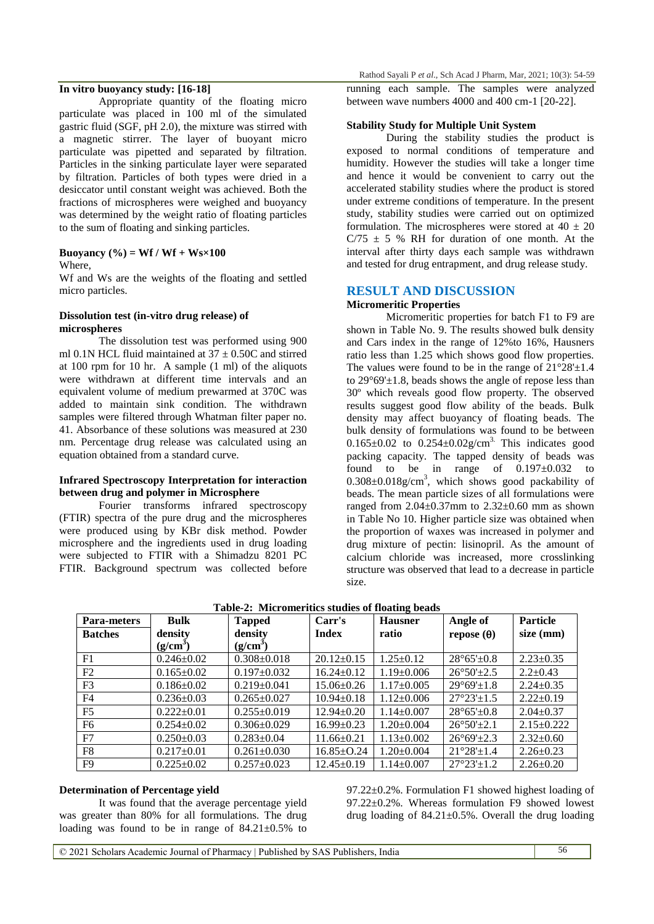### **In vitro buoyancy study: [16-18]**

Appropriate quantity of the floating micro particulate was placed in 100 ml of the simulated gastric fluid (SGF, pH 2.0), the mixture was stirred with a magnetic stirrer. The layer of buoyant micro particulate was pipetted and separated by filtration. Particles in the sinking particulate layer were separated by filtration. Particles of both types were dried in a desiccator until constant weight was achieved. Both the fractions of microspheres were weighed and buoyancy was determined by the weight ratio of floating particles to the sum of floating and sinking particles.

#### **Buoyancy (%) = Wf / Wf + Ws×100**

#### Where,

Wf and Ws are the weights of the floating and settled micro particles.

#### **Dissolution test (in-vitro drug release) of microspheres**

The dissolution test was performed using 900 ml 0.1N HCL fluid maintained at  $37 \pm 0.50C$  and stirred at 100 rpm for 10 hr. A sample (1 ml) of the aliquots were withdrawn at different time intervals and an equivalent volume of medium prewarmed at 370C was added to maintain sink condition. The withdrawn samples were filtered through Whatman filter paper no. 41. Absorbance of these solutions was measured at 230 nm. Percentage drug release was calculated using an equation obtained from a standard curve.

#### **Infrared Spectroscopy Interpretation for interaction between drug and polymer in Microsphere**

Fourier transforms infrared spectroscopy (FTIR) spectra of the pure drug and the microspheres were produced using by KBr disk method. Powder microsphere and the ingredients used in drug loading were subjected to FTIR with a Shimadzu 8201 PC FTIR. Background spectrum was collected before running each sample. The samples were analyzed between wave numbers 4000 and 400 cm-1 [20-22].

#### **Stability Study for Multiple Unit System**

During the stability studies the product is exposed to normal conditions of temperature and humidity. However the studies will take a longer time and hence it would be convenient to carry out the accelerated stability studies where the product is stored under extreme conditions of temperature. In the present study, stability studies were carried out on optimized formulation. The microspheres were stored at  $40 \pm 20$  $C/75 \pm 5$  % RH for duration of one month. At the interval after thirty days each sample was withdrawn and tested for drug entrapment, and drug release study.

# **RESULT AND DISCUSSION**

## **Micromeritic Properties**

Micromeritic properties for batch F1 to F9 are shown in Table No. 9. The results showed bulk density and Cars index in the range of 12%to 16%, Hausners ratio less than 1.25 which shows good flow properties. The values were found to be in the range of  $21^{\circ}28^{\prime}\pm1.4$ to  $29^{\circ}69' \pm 1.8$ , beads shows the angle of repose less than 30º which reveals good flow property. The observed results suggest good flow ability of the beads. Bulk density may affect buoyancy of floating beads. The bulk density of formulations was found to be between 0.165 $\pm$ 0.02 to 0.254 $\pm$ 0.02g/cm<sup>3.</sup> This indicates good packing capacity. The tapped density of beads was found to be in range of  $0.197 \pm 0.032$  to  $0.308 \pm 0.018$ g/cm<sup>3</sup>, which shows good packability of beads. The mean particle sizes of all formulations were ranged from  $2.04 \pm 0.37$ mm to  $2.32 \pm 0.60$  mm as shown in Table No 10. Higher particle size was obtained when the proportion of waxes was increased in polymer and drug mixture of pectin: lisinopril. As the amount of calcium chloride was increased, more crosslinking structure was observed that lead to a decrease in particle size.

| Table-2: Micromeritics studies of Hoating beads |                      |                      |                  |                  |                                 |                 |
|-------------------------------------------------|----------------------|----------------------|------------------|------------------|---------------------------------|-----------------|
| <b>Para-meters</b>                              | <b>Bulk</b>          | <b>Tapped</b>        | Carr's           | <b>Hausner</b>   | Angle of                        | <b>Particle</b> |
| <b>Batches</b>                                  | density              | density              | <b>Index</b>     | ratio            | repose (θ)                      | $size \ (mm)$   |
|                                                 | (g/cm <sup>3</sup> ) | (g/cm <sup>3</sup> ) |                  |                  |                                 |                 |
| F1                                              | $0.246 \pm 0.02$     | $0.308 \pm 0.018$    | $20.12 \pm 0.15$ | $1.25 \pm 0.12$  | $28^{\circ}65' \pm 0.8$         | $2.23 \pm 0.35$ |
| F2                                              | $0.165 \pm 0.02$     | $0.197 \pm 0.032$    | $16.24 \pm 0.12$ | $1.19 \pm 0.006$ | $26^{\circ}50'+2.5$             | $2.2+0.43$      |
| F <sub>3</sub>                                  | $0.186 \pm 0.02$     | $0.219 \pm 0.041$    | $15.06 \pm 0.26$ | $1.17 \pm 0.005$ | $29^{\circ}69' \pm 1.8$         | $2.24 \pm 0.35$ |
| F <sub>4</sub>                                  | $0.236 \pm 0.03$     | $0.265 \pm 0.027$    | $10.94 \pm 0.18$ | $1.12 \pm 0.006$ | $27^{\circ}23^{\prime}\pm1.5$   | $2.22+0.19$     |
| F <sub>5</sub>                                  | $0.222 \pm 0.01$     | $0.255 \pm 0.019$    | $12.94 \pm 0.20$ | $1.14 \pm 0.007$ | $28^{\circ}65' \pm 0.8$         | $2.04 \pm 0.37$ |
| F <sub>6</sub>                                  | $0.254 \pm 0.02$     | $0.306 \pm 0.029$    | $16.99 \pm 0.23$ | $1.20 \pm 0.004$ | $26^{\circ}50^{\prime}+2.1$     | $2.15+0.222$    |
| F7                                              | $0.250 \pm 0.03$     | $0.283 \pm 0.04$     | $11.66 \pm 0.21$ | $1.13 \pm 0.002$ | $26^{\circ}69' + 2.3$           | $2.32 \pm 0.60$ |
| F8                                              | $0.217 \pm 0.01$     | $0.261 \pm 0.030$    | $16.85 \pm 0.24$ | $1.20 \pm 0.004$ | $21^{\circ}28' \pm 1.4$         | $2.26 \pm 0.23$ |
| F <sub>9</sub>                                  | $0.225 \pm 0.02$     | $0.257 \pm 0.023$    | $12.45 \pm 0.19$ | $1.14 \pm 0.007$ | $27^{\circ}23^{\prime} \pm 1.2$ | $2.26 \pm 0.20$ |

**Table-2: Micromeritics studies of floating beads**

#### **Determination of Percentage yield**

It was found that the average percentage yield was greater than 80% for all formulations. The drug loading was found to be in range of  $84.21 \pm 0.5\%$  to

97.22±0.2%. Formulation F1 showed highest loading of 97.22±0.2%. Whereas formulation F9 showed lowest drug loading of  $84.21 \pm 0.5$ %. Overall the drug loading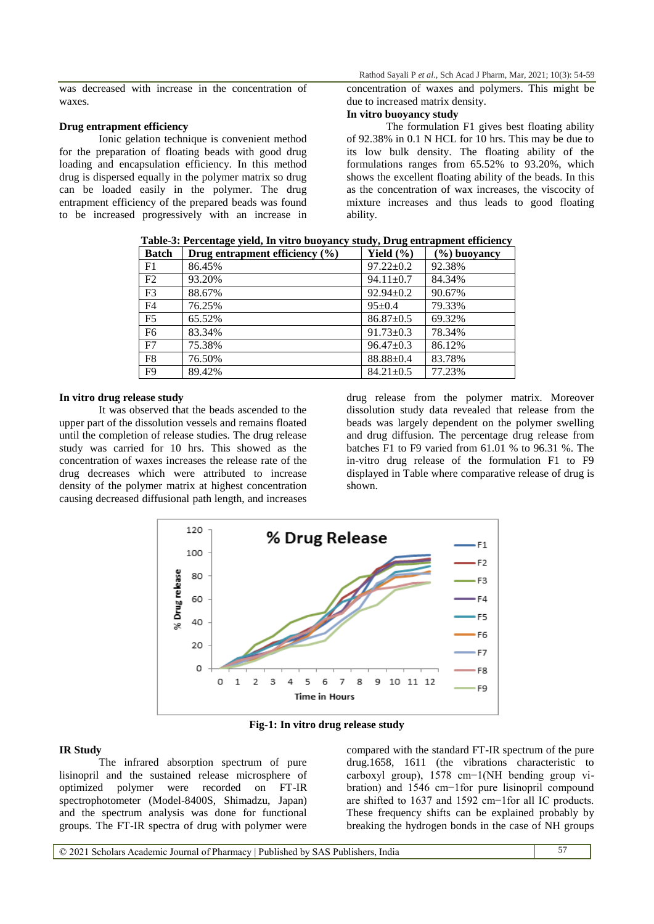was decreased with increase in the concentration of waxes.

# **Drug entrapment efficiency**

Ionic gelation technique is convenient method for the preparation of floating beads with good drug loading and encapsulation efficiency. In this method drug is dispersed equally in the polymer matrix so drug can be loaded easily in the polymer. The drug entrapment efficiency of the prepared beads was found to be increased progressively with an increase in Rathod Sayali P *et al.,* Sch Acad J Pharm, Mar, 2021; 10(3): 54-59

concentration of waxes and polymers. This might be due to increased matrix density.

# **In vitro buoyancy study**

The formulation F1 gives best floating ability of 92.38% in 0.1 N HCL for 10 hrs. This may be due to its low bulk density. The floating ability of the formulations ranges from  $65.52\%$  to 93.20%, which shows the excellent floating ability of the beads. In this as the concentration of wax increases, the viscocity of mixture increases and thus leads to good floating ability.

**Table-3: Percentage yield, In vitro buoyancy study, Drug entrapment efficiency**

| <b>Batch</b>   | Drug entrapment efficiency $(\% )$ | Yield $(\% )$   | $(\%)$ buoyancy |
|----------------|------------------------------------|-----------------|-----------------|
| F1             | 86.45%                             | $97.22 \pm 0.2$ | 92.38%          |
| F2             | 93.20%                             | $94.11 \pm 0.7$ | 84.34%          |
| F <sub>3</sub> | 88.67%                             | $92.94 \pm 0.2$ | 90.67%          |
| F <sub>4</sub> | 76.25%                             | $95+0.4$        | 79.33%          |
| F <sub>5</sub> | 65.52%                             | $86.87 \pm 0.5$ | 69.32%          |
| F <sub>6</sub> | 83.34%                             | $91.73 \pm 0.3$ | 78.34%          |
| F7             | 75.38%                             | $96.47 \pm 0.3$ | 86.12%          |
| F <sub>8</sub> | 76.50%                             | $88.88 \pm 0.4$ | 83.78%          |
| F <sub>9</sub> | 89.42%                             | $84.21 \pm 0.5$ | 77.23%          |

#### **In vitro drug release study**

It was observed that the beads ascended to the upper part of the dissolution vessels and remains floated until the completion of release studies. The drug release study was carried for 10 hrs. This showed as the concentration of waxes increases the release rate of the drug decreases which were attributed to increase density of the polymer matrix at highest concentration causing decreased diffusional path length, and increases

drug release from the polymer matrix. Moreover dissolution study data revealed that release from the beads was largely dependent on the polymer swelling and drug diffusion. The percentage drug release from batches F1 to F9 varied from 61.01 % to 96.31 %. The in-vitro drug release of the formulation F1 to F9 displayed in Table where comparative release of drug is shown.



**Fig-1: In vitro drug release study**

#### **IR Study**

The infrared absorption spectrum of pure lisinopril and the sustained release microsphere of optimized polymer were recorded on FT-IR spectrophotometer (Model-8400S, Shimadzu, Japan) and the spectrum analysis was done for functional groups. The FT-IR spectra of drug with polymer were

compared with the standard FT-IR spectrum of the pure drug.1658, 1611 (the vibrations characteristic to carboxyl group), 1578 cm−1(NH bending group vibration) and 1546 cm−1for pure lisinopril compound are shifted to 1637 and 1592 cm−1for all IC products. These frequency shifts can be explained probably by breaking the hydrogen bonds in the case of NH groups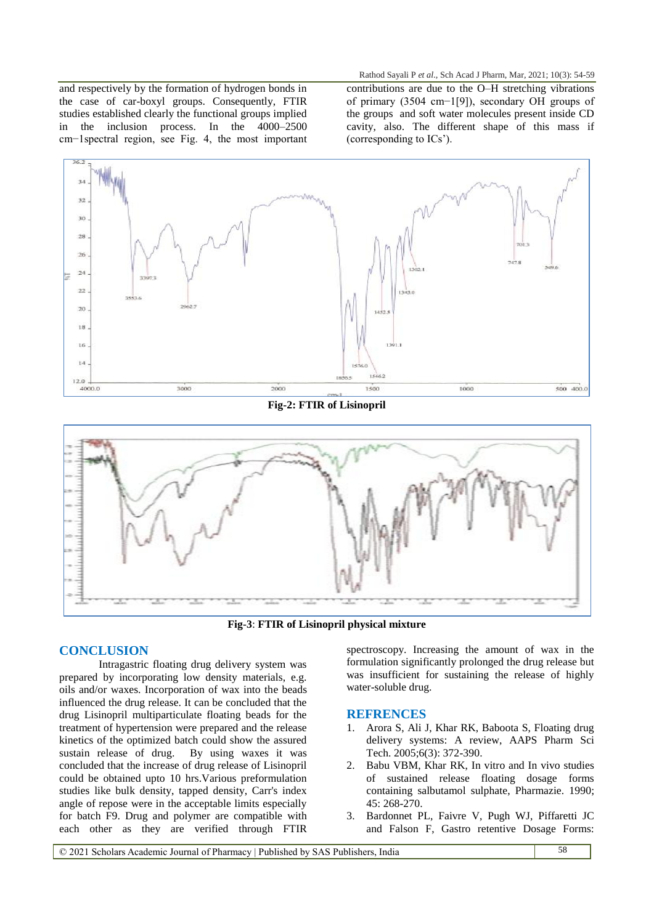and respectively by the formation of hydrogen bonds in the case of car-boxyl groups. Consequently, FTIR studies established clearly the functional groups implied in the inclusion process. In the 4000–2500 cm−1spectral region, see Fig. 4, the most important

Rathod Sayali P *et al.,* Sch Acad J Pharm, Mar, 2021; 10(3): 54-59 contributions are due to the O–H stretching vibrations of primary (3504 cm−1[9]), secondary OH groups of the groups and soft water molecules present inside CD cavity, also. The different shape of this mass if (corresponding to ICs").



**Fig-2: FTIR of Lisinopril**



**Fig-3**: **FTIR of Lisinopril physical mixture**

# **CONCLUSION**

Intragastric floating drug delivery system was prepared by incorporating low density materials, e.g. oils and/or waxes. Incorporation of wax into the beads influenced the drug release. It can be concluded that the drug Lisinopril multiparticulate floating beads for the treatment of hypertension were prepared and the release kinetics of the optimized batch could show the assured sustain release of drug. By using waxes it was concluded that the increase of drug release of Lisinopril could be obtained upto 10 hrs.Various preformulation studies like bulk density, tapped density, Carr's index angle of repose were in the acceptable limits especially for batch F9. Drug and polymer are compatible with each other as they are verified through FTIR

spectroscopy. Increasing the amount of wax in the formulation significantly prolonged the drug release but was insufficient for sustaining the release of highly water-soluble drug.

# **REFRENCES**

- 1. Arora S, Ali J, Khar RK, Baboota S, Floating drug delivery systems: A review, AAPS Pharm Sci Tech. 2005;6(3): 372-390.
- 2. Babu VBM, Khar RK, In vitro and In vivo studies of sustained release floating dosage forms containing salbutamol sulphate, Pharmazie. 1990; 45: 268-270.
- 3. Bardonnet PL, Faivre V, Pugh WJ, Piffaretti JC and Falson F, Gastro retentive Dosage Forms: